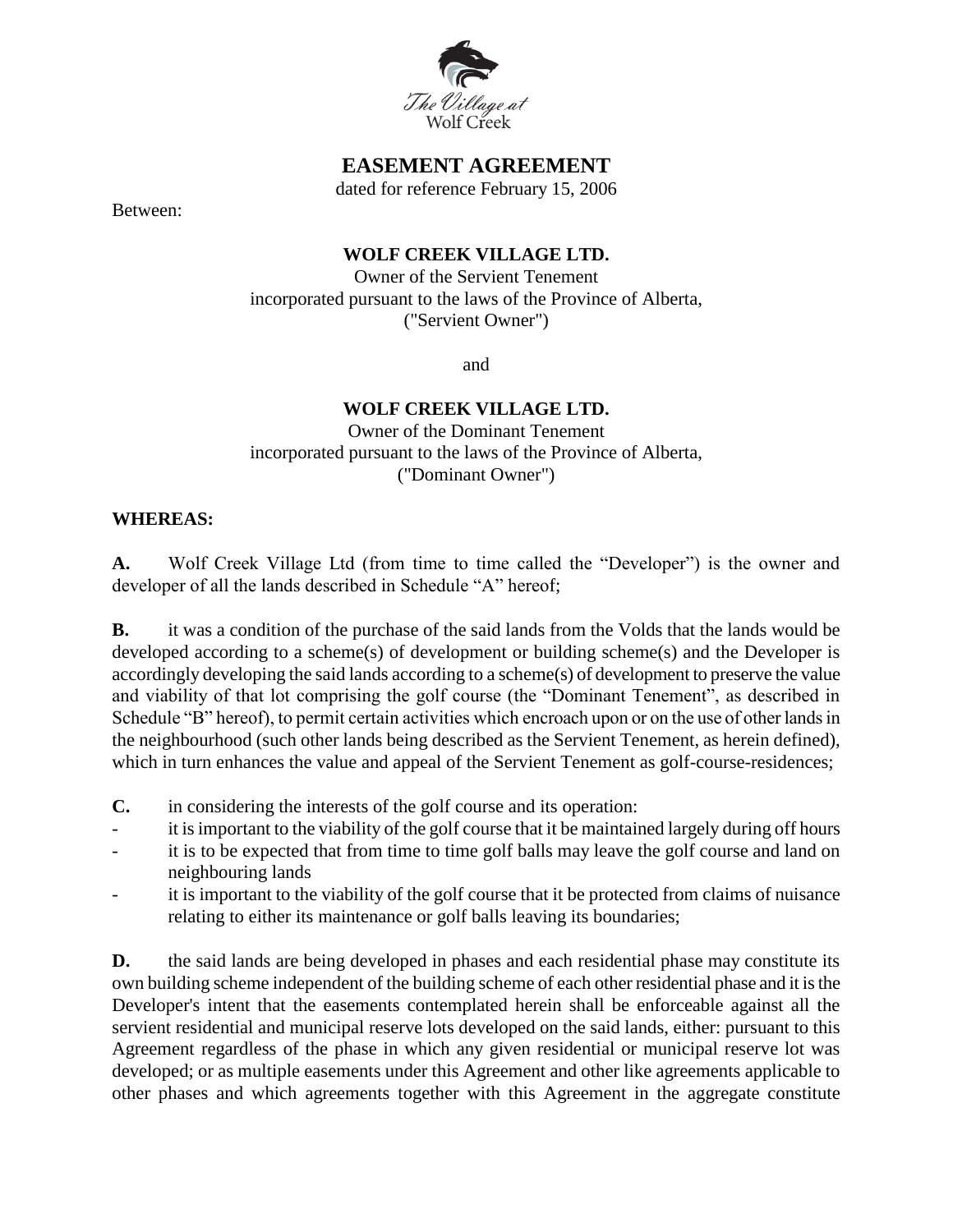

## **EASEMENT AGREEMENT**

dated for reference February 15, 2006

Between:

#### **WOLF CREEK VILLAGE LTD.**

Owner of the Servient Tenement incorporated pursuant to the laws of the Province of Alberta, ("Servient Owner")

and

## **WOLF CREEK VILLAGE LTD.**

Owner of the Dominant Tenement incorporated pursuant to the laws of the Province of Alberta, ("Dominant Owner")

#### **WHEREAS:**

**A.** Wolf Creek Village Ltd (from time to time called the "Developer") is the owner and developer of all the lands described in Schedule "A" hereof;

**B.** it was a condition of the purchase of the said lands from the Volds that the lands would be developed according to a scheme(s) of development or building scheme(s) and the Developer is accordingly developing the said lands according to a scheme(s) of development to preserve the value and viability of that lot comprising the golf course (the "Dominant Tenement", as described in Schedule "B" hereof), to permit certain activities which encroach upon or on the use of other lands in the neighbourhood (such other lands being described as the Servient Tenement, as herein defined), which in turn enhances the value and appeal of the Servient Tenement as golf-course-residences;

- **C.** in considering the interests of the golf course and its operation:
- it is important to the viability of the golf course that it be maintained largely during off hours
- it is to be expected that from time to time golf balls may leave the golf course and land on neighbouring lands
- it is important to the viability of the golf course that it be protected from claims of nuisance relating to either its maintenance or golf balls leaving its boundaries;

**D.** the said lands are being developed in phases and each residential phase may constitute its own building scheme independent of the building scheme of each other residential phase and it is the Developer's intent that the easements contemplated herein shall be enforceable against all the servient residential and municipal reserve lots developed on the said lands, either: pursuant to this Agreement regardless of the phase in which any given residential or municipal reserve lot was developed; or as multiple easements under this Agreement and other like agreements applicable to other phases and which agreements together with this Agreement in the aggregate constitute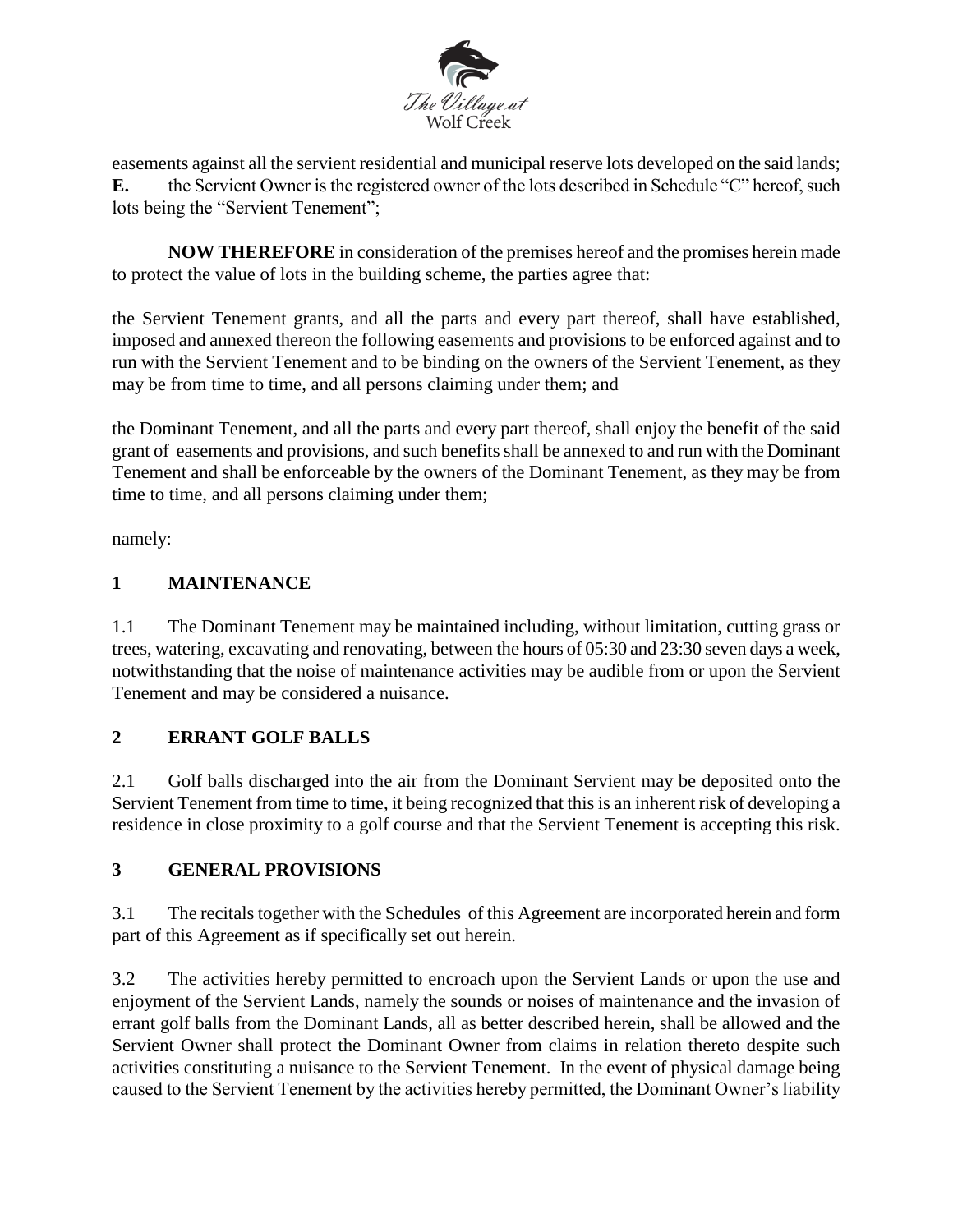

easements against all the servient residential and municipal reserve lots developed on the said lands; **E.** the Servient Owner is the registered owner of the lots described in Schedule "C" hereof, such lots being the "Servient Tenement";

**NOW THEREFORE** in consideration of the premises hereof and the promises herein made to protect the value of lots in the building scheme, the parties agree that:

the Servient Tenement grants, and all the parts and every part thereof, shall have established, imposed and annexed thereon the following easements and provisions to be enforced against and to run with the Servient Tenement and to be binding on the owners of the Servient Tenement, as they may be from time to time, and all persons claiming under them; and

the Dominant Tenement, and all the parts and every part thereof, shall enjoy the benefit of the said grant of easements and provisions, and such benefits shall be annexed to and run with the Dominant Tenement and shall be enforceable by the owners of the Dominant Tenement, as they may be from time to time, and all persons claiming under them;

namely:

## **1 MAINTENANCE**

1.1 The Dominant Tenement may be maintained including, without limitation, cutting grass or trees, watering, excavating and renovating, between the hours of 05:30 and 23:30 seven days a week, notwithstanding that the noise of maintenance activities may be audible from or upon the Servient Tenement and may be considered a nuisance.

## **2 ERRANT GOLF BALLS**

2.1 Golf balls discharged into the air from the Dominant Servient may be deposited onto the Servient Tenement from time to time, it being recognized that this is an inherent risk of developing a residence in close proximity to a golf course and that the Servient Tenement is accepting this risk.

## **3 GENERAL PROVISIONS**

3.1 The recitals together with the Schedules of this Agreement are incorporated herein and form part of this Agreement as if specifically set out herein.

3.2 The activities hereby permitted to encroach upon the Servient Lands or upon the use and enjoyment of the Servient Lands, namely the sounds or noises of maintenance and the invasion of errant golf balls from the Dominant Lands, all as better described herein, shall be allowed and the Servient Owner shall protect the Dominant Owner from claims in relation thereto despite such activities constituting a nuisance to the Servient Tenement. In the event of physical damage being caused to the Servient Tenement by the activities hereby permitted, the Dominant Owner's liability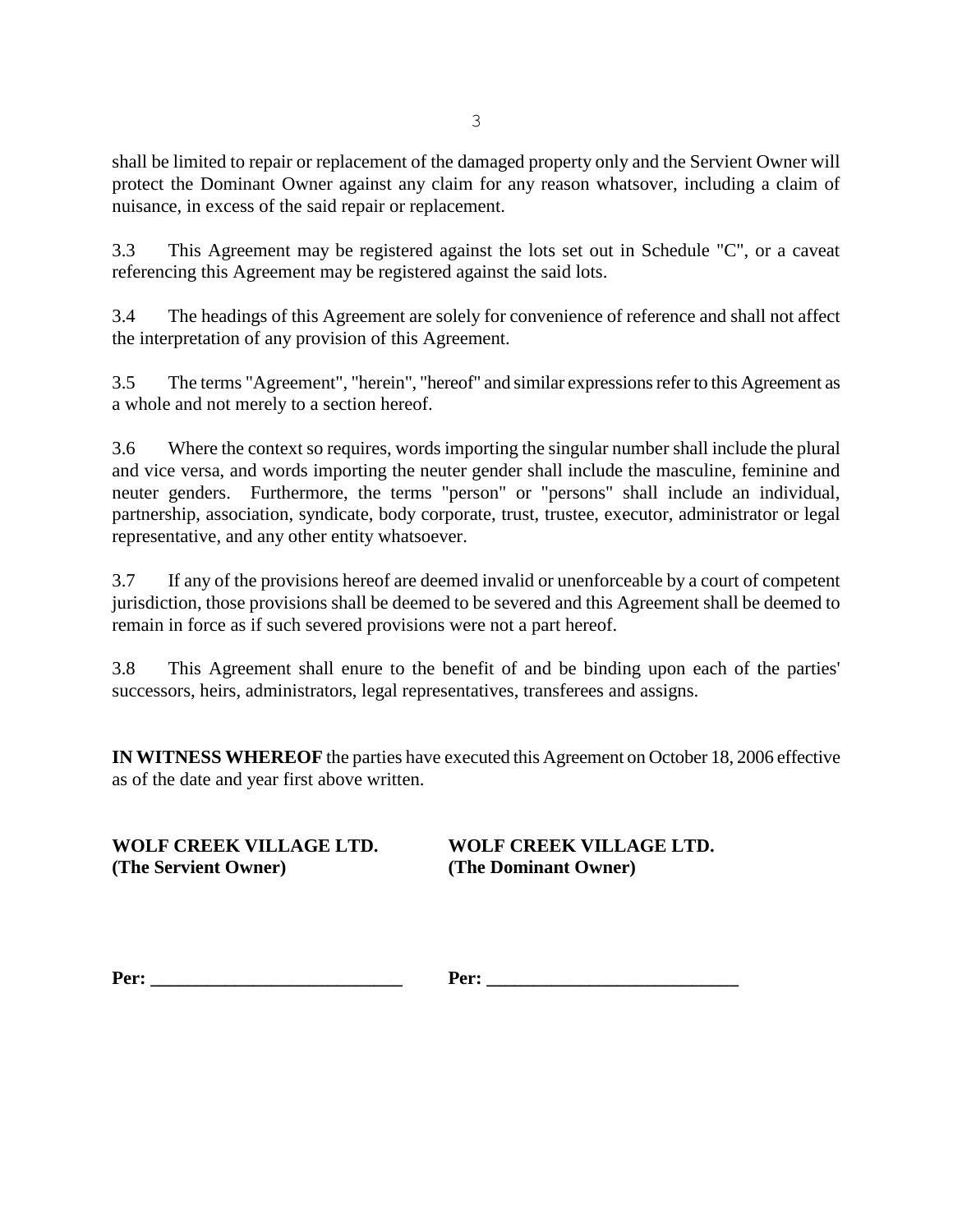shall be limited to repair or replacement of the damaged property only and the Servient Owner will protect the Dominant Owner against any claim for any reason whatsover, including a claim of nuisance, in excess of the said repair or replacement.

3.3 This Agreement may be registered against the lots set out in Schedule "C", or a caveat referencing this Agreement may be registered against the said lots.

3.4 The headings of this Agreement are solely for convenience of reference and shall not affect the interpretation of any provision of this Agreement.

3.5 The terms "Agreement", "herein", "hereof" and similar expressions refer to this Agreement as a whole and not merely to a section hereof.

3.6 Where the context so requires, words importing the singular number shall include the plural and vice versa, and words importing the neuter gender shall include the masculine, feminine and neuter genders. Furthermore, the terms "person" or "persons" shall include an individual, partnership, association, syndicate, body corporate, trust, trustee, executor, administrator or legal representative, and any other entity whatsoever.

3.7 If any of the provisions hereof are deemed invalid or unenforceable by a court of competent jurisdiction, those provisions shall be deemed to be severed and this Agreement shall be deemed to remain in force as if such severed provisions were not a part hereof.

3.8 This Agreement shall enure to the benefit of and be binding upon each of the parties' successors, heirs, administrators, legal representatives, transferees and assigns.

**IN WITNESS WHEREOF** the parties have executed this Agreement on October 18, 2006 effective as of the date and year first above written.

**WOLF CREEK VILLAGE LTD. WOLF CREEK VILLAGE LTD. (The Servient Owner) (The Dominant Owner)**

**Per: Per: Per: Per: Per: Per: Per: Per: Per: Per: Per: Per: Per: Per: Per: Per: Per: Per: Per: Per: Per: Per: Per: Per: Per: Per: Per: Per: Per: Per: Per: Per:**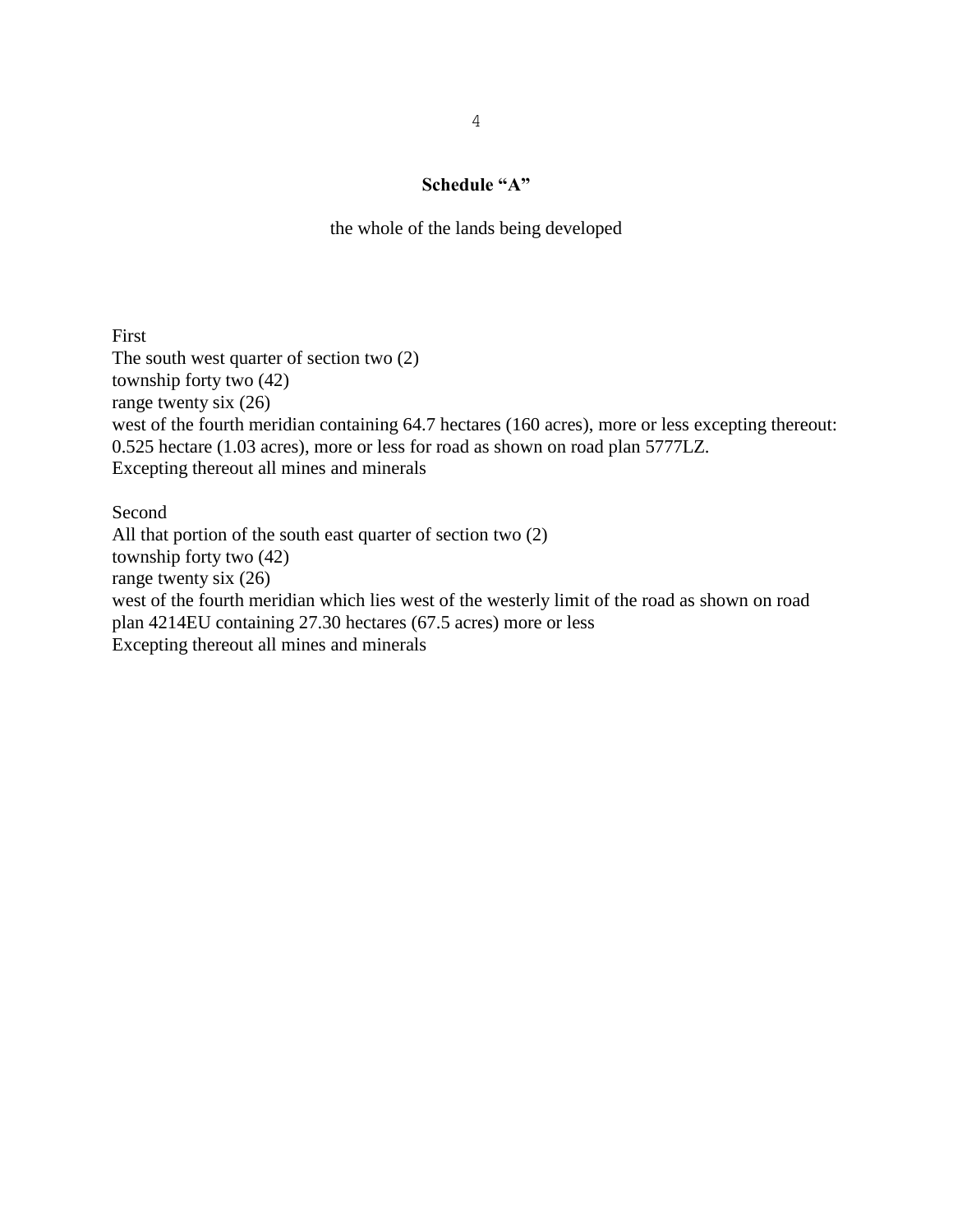#### **Schedule "A"**

the whole of the lands being developed

First The south west quarter of section two (2) township forty two (42) range twenty six (26) west of the fourth meridian containing 64.7 hectares (160 acres), more or less excepting thereout: 0.525 hectare (1.03 acres), more or less for road as shown on road plan 5777LZ. Excepting thereout all mines and minerals

Second All that portion of the south east quarter of section two (2) township forty two (42) range twenty six (26) west of the fourth meridian which lies west of the westerly limit of the road as shown on road plan 4214EU containing 27.30 hectares (67.5 acres) more or less Excepting thereout all mines and minerals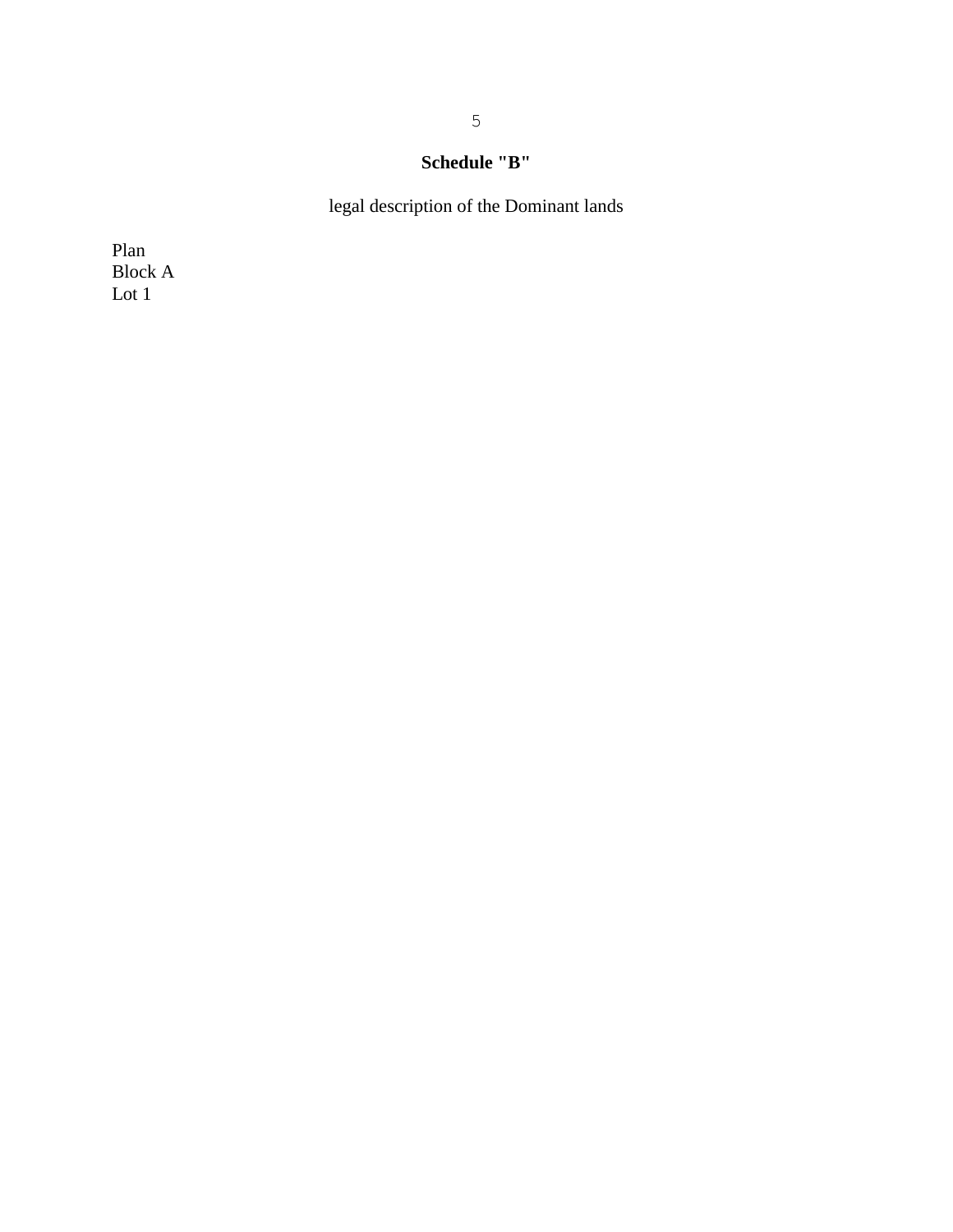# **Schedule "B"**

legal description of the Dominant lands

Plan Block A Lot 1